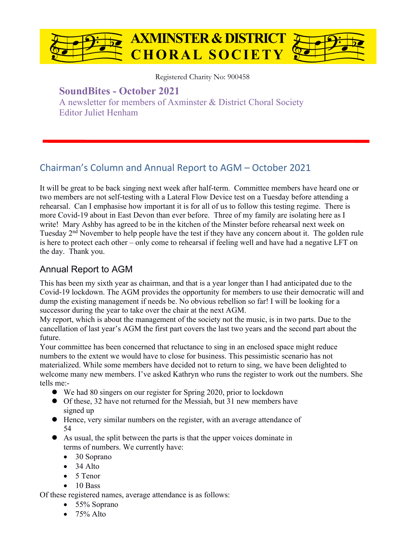

Registered Charity No: 900458

## **SoundBites - October 2021**

A newsletter for members of Axminster & District Choral Society Editor Juliet Henham

# Chairman's Column and Annual Report to AGM – October 2021

It will be great to be back singing next week after half-term. Committee members have heard one or two members are not self-testing with a Lateral Flow Device test on a Tuesday before attending a rehearsal. Can I emphasise how important it is for all of us to follow this testing regime. There is more Covid-19 about in East Devon than ever before. Three of my family are isolating here as I write! Mary Ashby has agreed to be in the kitchen of the Minster before rehearsal next week on Tuesday 2nd November to help people have the test if they have any concern about it. The golden rule is here to protect each other – only come to rehearsal if feeling well and have had a negative LFT on the day. Thank you.

### Annual Report to AGM

This has been my sixth year as chairman, and that is a year longer than I had anticipated due to the Covid-19 lockdown. The AGM provides the opportunity for members to use their democratic will and dump the existing management if needs be. No obvious rebellion so far! I will be looking for a successor during the year to take over the chair at the next AGM.

My report, which is about the management of the society not the music, is in two parts. Due to the cancellation of last year's AGM the first part covers the last two years and the second part about the future.

Your committee has been concerned that reluctance to sing in an enclosed space might reduce numbers to the extent we would have to close for business. This pessimistic scenario has not materialized. While some members have decided not to return to sing, we have been delighted to welcome many new members. I've asked Kathryn who runs the register to work out the numbers. She tells me:-

- We had 80 singers on our register for Spring 2020, prior to lockdown
- Of these, 32 have not returned for the Messiah, but 31 new members have signed up
- l Hence, very similar numbers on the register, with an average attendance of 54
- l As usual, the split between the parts is that the upper voices dominate in terms of numbers. We currently have:
	- 30 Soprano
	- $\bullet$  34 Alto
	- 5 Tenor
	- $\bullet$  10 Bass

Of these registered names, average attendance is as follows:

- 55% Soprano
- $\bullet$  75% Alto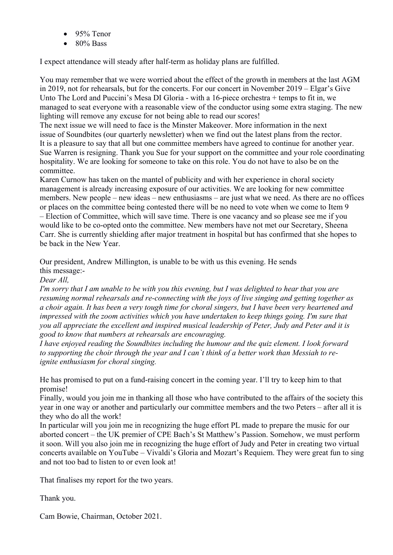- 95% Tenor
- 80% Bass

I expect attendance will steady after half-term as holiday plans are fulfilled.

You may remember that we were worried about the effect of the growth in members at the last AGM in 2019, not for rehearsals, but for the concerts. For our concert in November 2019 – Elgar's Give Unto The Lord and Puccini's Mesa DI Gloria - with a 16-piece orchestra + temps to fit in, we managed to seat everyone with a reasonable view of the conductor using some extra staging. The new lighting will remove any excuse for not being able to read our scores!

The next issue we will need to face is the Minster Makeover. More information in the next issue of Soundbites (our quarterly newsletter) when we find out the latest plans from the rector. It is a pleasure to say that all but one committee members have agreed to continue for another year. Sue Warren is resigning. Thank you Sue for your support on the committee and your role coordinating hospitality. We are looking for someone to take on this role. You do not have to also be on the committee.

Karen Curnow has taken on the mantel of publicity and with her experience in choral society management is already increasing exposure of our activities. We are looking for new committee members. New people – new ideas – new enthusiasms – are just what we need. As there are no offices or places on the committee being contested there will be no need to vote when we come to Item 9 – Election of Committee, which will save time. There is one vacancy and so please see me if you would like to be co-opted onto the committee. New members have not met our Secretary, Sheena Carr. She is currently shielding after major treatment in hospital but has confirmed that she hopes to be back in the New Year.

Our president, Andrew Millington, is unable to be with us this evening. He sends this message:-

*Dear All,*

*I'm sorry that I am unable to be with you this evening, but I was delighted to hear that you are resuming normal rehearsals and re-connecting with the joys of live singing and getting together as a choir again. It has been a very tough time for choral singers, but I have been very heartened and impressed with the zoom activities which you have undertaken to keep things going. I'm sure that you all appreciate the excellent and inspired musical leadership of Peter, Judy and Peter and it is good to know that numbers at rehearsals are encouraging.*

*I have enjoyed reading the Soundbites including the humour and the quiz element. I look forward to supporting the choir through the year and I can`t think of a better work than Messiah to reignite enthusiasm for choral singing.*

He has promised to put on a fund-raising concert in the coming year. I'll try to keep him to that promise!

Finally, would you join me in thanking all those who have contributed to the affairs of the society this year in one way or another and particularly our committee members and the two Peters – after all it is they who do all the work!

In particular will you join me in recognizing the huge effort PL made to prepare the music for our aborted concert – the UK premier of CPE Bach's St Matthew's Passion. Somehow, we must perform it soon. Will you also join me in recognizing the huge effort of Judy and Peter in creating two virtual concerts available on YouTube – Vivaldi's Gloria and Mozart's Requiem. They were great fun to sing and not too bad to listen to or even look at!

That finalises my report for the two years.

Thank you.

Cam Bowie, Chairman, October 2021.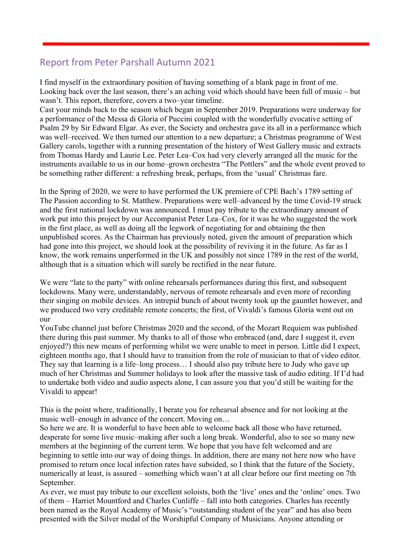## Report from Peter Parshall Autumn 2021

I find myself in the extraordinary position of having something of a blank page in front of me. Looking back over the last season, there's an aching void which should have been full of music – but wasn't. This report, therefore, covers a two–year timeline.

Cast your minds back to the season which began in September 2019. Preparations were underway for a performance of the Messa di Gloria of Puccini coupled with the wonderfully evocative setting of Psalm 29 by Sir Edward Elgar. As ever, the Society and orchestra gave its all in a performance which was well–received. We then turned our attention to a new departure; a Christmas programme of West Gallery carols, together with a running presentation of the history of West Gallery music and extracts from Thomas Hardy and Laurie Lee. Peter Lea–Cox had very cleverly arranged all the music for the instruments available to us in our home–grown orchestra "The Pottlers" and the whole event proved to be something rather different: a refreshing break, perhaps, from the 'usual' Christmas fare.

In the Spring of 2020, we were to have performed the UK premiere of CPE Bach's 1789 setting of The Passion according to St. Matthew. Preparations were well–advanced by the time Covid-19 struck and the first national lockdown was announced. I must pay tribute to the extraordinary amount of work put into this project by our Accompanist Peter Lea–Cox, for it was he who suggested the work in the first place, as well as doing all the legwork of negotiating for and obtaining the then unpublished scores. As the Chairman has previously noted, given the amount of preparation which had gone into this project, we should look at the possibility of reviving it in the future. As far as I know, the work remains unperformed in the UK and possibly not since 1789 in the rest of the world, although that is a situation which will surely be rectified in the near future.

We were "late to the party" with online rehearsals performances during this first, and subsequent lockdowns. Many were, understandably, nervous of remote rehearsals and even more of recording their singing on mobile devices. An intrepid bunch of about twenty took up the gauntlet however, and we produced two very creditable remote concerts; the first, of Vivaldi's famous Gloria went out on our

YouTube channel just before Christmas 2020 and the second, of the Mozart Requiem was published there during this past summer. My thanks to all of those who embraced (and, dare I suggest it, even enjoyed?) this new means of performing whilst we were unable to meet in person. Little did I expect, eighteen months ago, that I should have to transition from the role of musician to that of video editor. They say that learning is a life–long process… I should also pay tribute here to Judy who gave up much of her Christmas and Summer holidays to look after the massive task of audio editing. If I'd had to undertake both video and audio aspects alone, I can assure you that you'd still be waiting for the Vivaldi to appear!

This is the point where, traditionally, I berate you for rehearsal absence and for not looking at the music well–enough in advance of the concert. Moving on…

So here we are. It is wonderful to have been able to welcome back all those who have returned, desperate for some live music–making after such a long break. Wonderful, also to see so many new members at the beginning of the current term. We hope that you have felt welcomed and are beginning to settle into our way of doing things. In addition, there are many not here now who have promised to return once local infection rates have subsided, so I think that the future of the Society, numerically at least, is assured – something which wasn't at all clear before our first meeting on 7th September.

As ever, we must pay tribute to our excellent soloists, both the 'live' ones and the 'online' ones. Two of them – Harriet Mountford and Charles Cunliffe – fall into both categories. Charles has recently been named as the Royal Academy of Music's "outstanding student of the year" and has also been presented with the Silver medal of the Worshipful Company of Musicians. Anyone attending or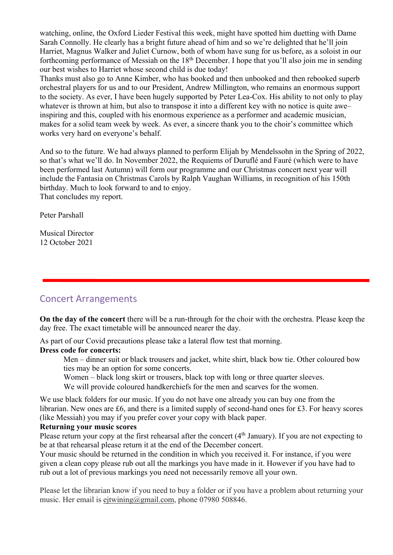watching, online, the Oxford Lieder Festival this week, might have spotted him duetting with Dame Sarah Connolly. He clearly has a bright future ahead of him and so we're delighted that he'll join Harriet, Magnus Walker and Juliet Curnow, both of whom have sung for us before, as a soloist in our forthcoming performance of Messiah on the  $18<sup>th</sup>$  December. I hope that you'll also join me in sending our best wishes to Harriet whose second child is due today!

Thanks must also go to Anne Kimber, who has booked and then unbooked and then rebooked superb orchestral players for us and to our President, Andrew Millington, who remains an enormous support to the society. As ever, I have been hugely supported by Peter Lea-Cox. His ability to not only to play whatever is thrown at him, but also to transpose it into a different key with no notice is quite awe– inspiring and this, coupled with his enormous experience as a performer and academic musician, makes for a solid team week by week. As ever, a sincere thank you to the choir's committee which works very hard on everyone's behalf.

And so to the future. We had always planned to perform Elijah by Mendelssohn in the Spring of 2022, so that's what we'll do. In November 2022, the Requiems of Duruflé and Fauré (which were to have been performed last Autumn) will form our programme and our Christmas concert next year will include the Fantasia on Christmas Carols by Ralph Vaughan Williams, in recognition of his 150th birthday. Much to look forward to and to enjoy. That concludes my report.

Peter Parshall

Musical Director 12 October 2021

### Concert Arrangements

**On the day of the concert** there will be a run-through for the choir with the orchestra. Please keep the day free. The exact timetable will be announced nearer the day.

As part of our Covid precautions please take a lateral flow test that morning.

#### **Dress code for concerts:**

Men – dinner suit or black trousers and jacket, white shirt, black bow tie. Other coloured bow ties may be an option for some concerts.

Women – black long skirt or trousers, black top with long or three quarter sleeves.

We will provide coloured handkerchiefs for the men and scarves for the women.

We use black folders for our music. If you do not have one already you can buy one from the librarian. New ones are £6, and there is a limited supply of second-hand ones for £3. For heavy scores (like Messiah) you may if you prefer cover your copy with black paper.

#### **Returning your music scores**

Please return your copy at the first rehearsal after the concert (4<sup>th</sup> January). If you are not expecting to be at that rehearsal please return it at the end of the December concert.

Your music should be returned in the condition in which you received it. For instance, if you were given a clean copy please rub out all the markings you have made in it. However if you have had to rub out a lot of previous markings you need not necessarily remove all your own.

Please let the librarian know if you need to buy a folder or if you have a problem about returning your music. Her email is ejtwining@gmail.com, phone 07980 508846.